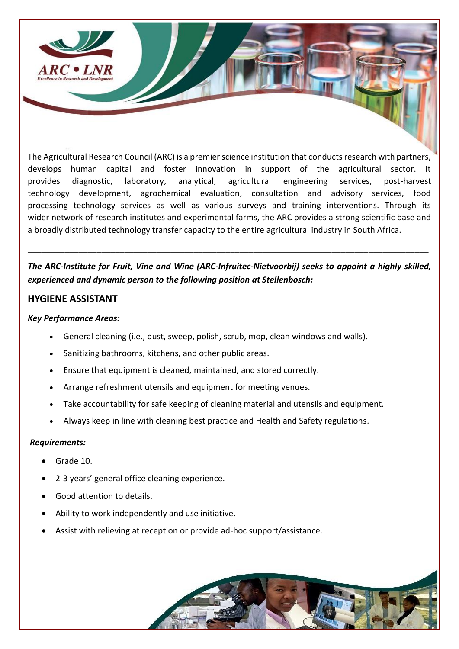

The Agricultural Research Council (ARC) is a premier science institution that conducts research with partners, develops human capital and foster innovation in support of the agricultural sector. It provides diagnostic, laboratory, analytical, agricultural engineering services, post-harvest technology development, agrochemical evaluation, consultation and advisory services, food processing technology services as well as various surveys and training interventions. Through its wider network of research institutes and experimental farms, the ARC provides a strong scientific base and a broadly distributed technology transfer capacity to the entire agricultural industry in South Africa.

*The ARC-Institute for Fruit, Vine and Wine (ARC-Infruitec-Nietvoorbij) seeks to appoint a highly skilled, experienced and dynamic person to the following position at Stellenbosch:*

\_\_\_\_\_\_\_\_\_\_\_\_\_\_\_\_\_\_\_\_\_\_\_\_\_\_\_\_\_\_\_\_\_\_\_\_\_\_\_\_\_\_\_\_\_\_\_\_\_\_\_\_\_\_\_\_\_\_\_\_\_\_\_\_\_\_\_\_\_\_\_\_\_\_\_\_\_\_\_\_\_\_\_\_\_\_\_

## **HYGIENE ASSISTANT**

## *Key Performance Areas:*

- General cleaning (i.e., dust, sweep, polish, scrub, mop, clean windows and walls).
- Sanitizing bathrooms, kitchens, and other public areas.
- Ensure that equipment is cleaned, maintained, and stored correctly.
- Arrange refreshment utensils and equipment for meeting venues.
- Take accountability for safe keeping of cleaning material and utensils and equipment.
- Always keep in line with cleaning best practice and Health and Safety regulations.

## *Requirements:*

- Grade 10.
- 2-3 years' general office cleaning experience.
- Good attention to details.
- Ability to work independently and use initiative.
- Assist with relieving at reception or provide ad-hoc support/assistance.